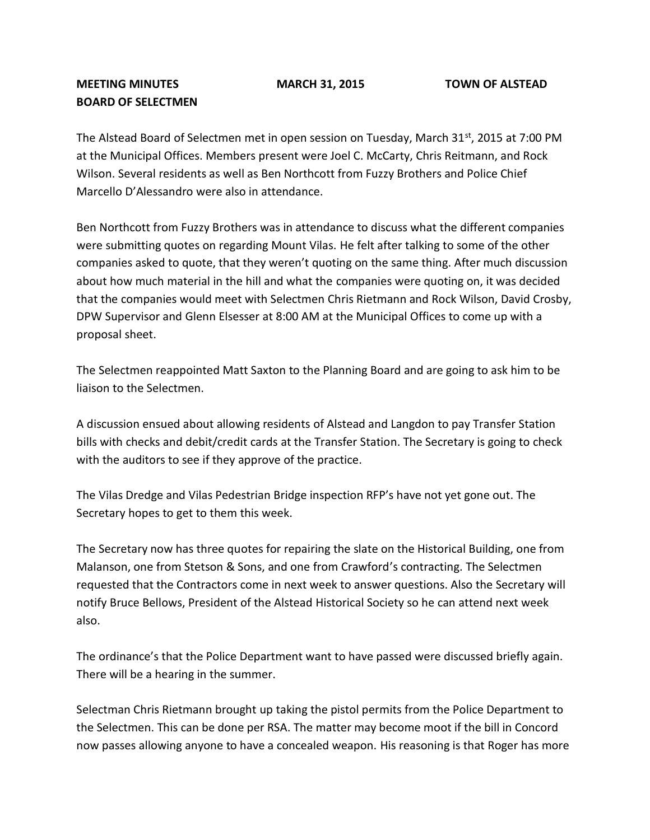## **MEETING MINUTES MARCH 31, 2015 TOWN OF ALSTEAD BOARD OF SELECTMEN**

The Alstead Board of Selectmen met in open session on Tuesday, March  $31<sup>st</sup>$ , 2015 at 7:00 PM at the Municipal Offices. Members present were Joel C. McCarty, Chris Reitmann, and Rock Wilson. Several residents as well as Ben Northcott from Fuzzy Brothers and Police Chief Marcello D'Alessandro were also in attendance.

Ben Northcott from Fuzzy Brothers was in attendance to discuss what the different companies were submitting quotes on regarding Mount Vilas. He felt after talking to some of the other companies asked to quote, that they weren't quoting on the same thing. After much discussion about how much material in the hill and what the companies were quoting on, it was decided that the companies would meet with Selectmen Chris Rietmann and Rock Wilson, David Crosby, DPW Supervisor and Glenn Elsesser at 8:00 AM at the Municipal Offices to come up with a proposal sheet.

The Selectmen reappointed Matt Saxton to the Planning Board and are going to ask him to be liaison to the Selectmen.

A discussion ensued about allowing residents of Alstead and Langdon to pay Transfer Station bills with checks and debit/credit cards at the Transfer Station. The Secretary is going to check with the auditors to see if they approve of the practice.

The Vilas Dredge and Vilas Pedestrian Bridge inspection RFP's have not yet gone out. The Secretary hopes to get to them this week.

The Secretary now has three quotes for repairing the slate on the Historical Building, one from Malanson, one from Stetson & Sons, and one from Crawford's contracting. The Selectmen requested that the Contractors come in next week to answer questions. Also the Secretary will notify Bruce Bellows, President of the Alstead Historical Society so he can attend next week also.

The ordinance's that the Police Department want to have passed were discussed briefly again. There will be a hearing in the summer.

Selectman Chris Rietmann brought up taking the pistol permits from the Police Department to the Selectmen. This can be done per RSA. The matter may become moot if the bill in Concord now passes allowing anyone to have a concealed weapon. His reasoning is that Roger has more